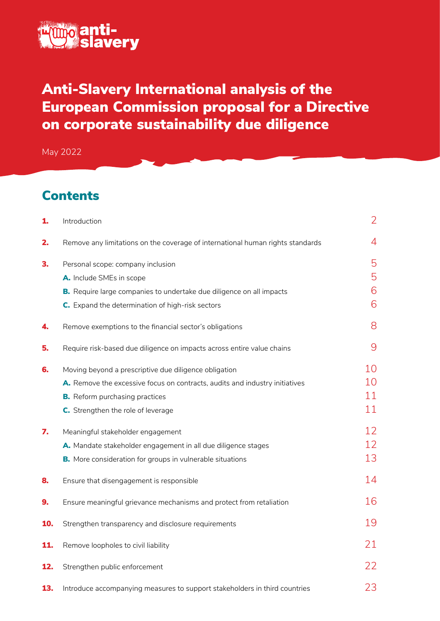

# Anti-Slavery International analysis of the European Commission proposal for a Directive on corporate sustainability due diligence

May 2022

## **Contents**

| 1.  | Introduction                                                                   | $\overline{2}$ |
|-----|--------------------------------------------------------------------------------|----------------|
| 2.  | Remove any limitations on the coverage of international human rights standards | 4              |
| З.  | Personal scope: company inclusion                                              | 5              |
|     | A. Include SMEs in scope                                                       | 5              |
|     | B. Require large companies to undertake due diligence on all impacts           | 6              |
|     | C. Expand the determination of high-risk sectors                               | 6              |
| 4.  | Remove exemptions to the financial sector's obligations                        | 8              |
| 5.  | Require risk-based due diligence on impacts across entire value chains         | 9              |
| 6.  | Moving beyond a prescriptive due diligence obligation                          | 10             |
|     | A. Remove the excessive focus on contracts, audits and industry initiatives    | 10             |
|     | <b>B.</b> Reform purchasing practices                                          | 11             |
|     | C. Strengthen the role of leverage                                             | 11             |
| 7.  | Meaningful stakeholder engagement                                              | 12             |
|     | A. Mandate stakeholder engagement in all due diligence stages                  | 12             |
|     | B. More consideration for groups in vulnerable situations                      | 13             |
| 8.  | Ensure that disengagement is responsible                                       | 14             |
| 9.  | Ensure meaningful grievance mechanisms and protect from retaliation            | 16             |
| 10. | Strengthen transparency and disclosure requirements                            | 19             |
| 11. | Remove loopholes to civil liability                                            | 21             |
| 12. | Strengthen public enforcement                                                  | 22             |
| 13. | Introduce accompanying measures to support stakeholders in third countries     | 23             |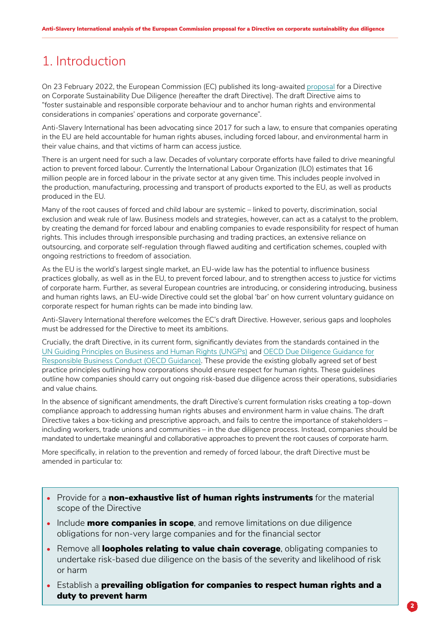## <span id="page-1-0"></span>1. Introduction

On 23 February 2022, the European Commission (EC) published its long-awaited [proposal](https://ec.europa.eu/info/business-economy-euro/doing-business-eu/corporate-sustainability-due-diligence_en) for a Directive on Corporate Sustainability Due Diligence (hereafter the draft Directive). The draft Directive aims to "foster sustainable and responsible corporate behaviour and to anchor human rights and environmental considerations in companies' operations and corporate governance".

Anti-Slavery International has been advocating since 2017 for such a law, to ensure that companies operating in the EU are held accountable for human rights abuses, including forced labour, and environmental harm in their value chains, and that victims of harm can access justice.

There is an urgent need for such a law. Decades of voluntary corporate efforts have failed to drive meaningful action to prevent forced labour. Currently the International Labour Organization (ILO) estimates that 16 million people are in forced labour in the private sector at any given time. This includes people involved in the production, manufacturing, processing and transport of products exported to the EU, as well as products produced in the EU.

Many of the root causes of forced and child labour are systemic – linked to poverty, discrimination, social exclusion and weak rule of law. Business models and strategies, however, can act as a catalyst to the problem, by creating the demand for forced labour and enabling companies to evade responsibility for respect of human rights. This includes through irresponsible purchasing and trading practices, an extensive reliance on outsourcing, and corporate self-regulation through flawed auditing and certification schemes, coupled with ongoing restrictions to freedom of association.

As the EU is the world's largest single market, an EU-wide law has the potential to influence business practices globally, as well as in the EU, to prevent forced labour, and to strengthen access to justice for victims of corporate harm. Further, as several European countries are introducing, or considering introducing, business and human rights laws, an EU-wide Directive could set the global 'bar' on how current voluntary guidance on corporate respect for human rights can be made into binding law.

Anti-Slavery International therefore welcomes the EC's draft Directive. However, serious gaps and loopholes must be addressed for the Directive to meet its ambitions.

Crucially, the draft Directive, in its current form, significantly deviates from the standards contained in the [UN Guiding Principles on Business and Human Rights \(UNGPs\)](https://www.ohchr.org/sites/default/files/documents/publications/guidingprinciplesbusinesshr_en.pdf) and [OECD Due Diligence Guidance for](https://www.oecd.org/investment/due-diligence-guidance-for-responsible-business-conduct.htm)  [Responsible Business Conduct \(OECD Guidance\).](https://www.oecd.org/investment/due-diligence-guidance-for-responsible-business-conduct.htm) These provide the existing globally agreed set of best practice principles outlining how corporations should ensure respect for human rights. These guidelines outline how companies should carry out ongoing risk-based due diligence across their operations, subsidiaries and value chains.

In the absence of significant amendments, the draft Directive's current formulation risks creating a top-down compliance approach to addressing human rights abuses and environment harm in value chains. The draft Directive takes a box-ticking and prescriptive approach, and fails to centre the importance of stakeholders – including workers, trade unions and communities – in the due diligence process. Instead, companies should be mandated to undertake meaningful and collaborative approaches to prevent the root causes of corporate harm.

More specifically, in relation to the prevention and remedy of forced labour, the draft Directive must be amended in particular to:

- Provide for a **non-exhaustive list of human rights instruments** for the material scope of the Directive
- Include more companies in scope, and remove limitations on due diligence obligations for non-very large companies and for the financial sector
- Remove all loopholes relating to value chain coverage, obligating companies to undertake risk-based due diligence on the basis of the severity and likelihood of risk or harm
- Establish a prevailing obligation for companies to respect human rights and a duty to prevent harm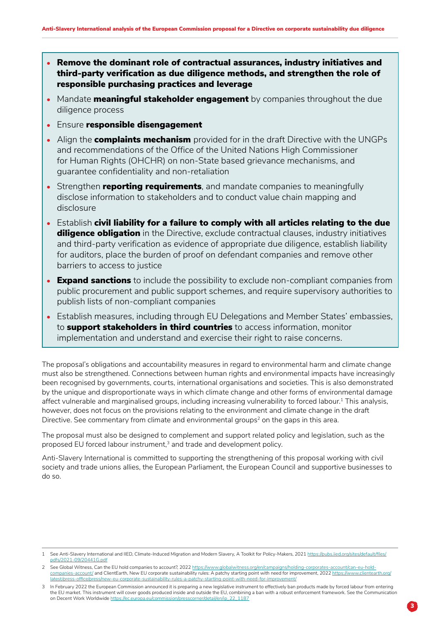- Remove the dominant role of contractual assurances, industry initiatives and third-party verification as due diligence methods, and strengthen the role of responsible purchasing practices and leverage
- Mandate **meaningful stakeholder engagement** by companies throughout the due diligence process
- Ensure responsible disengagement
- Align the **complaints mechanism** provided for in the draft Directive with the UNGPs and recommendations of the Office of the United Nations High Commissioner for Human Rights (OHCHR) on non-State based grievance mechanisms, and guarantee confidentiality and non-retaliation
- Strengthen reporting requirements, and mandate companies to meaningfully disclose information to stakeholders and to conduct value chain mapping and disclosure
- Establish civil liability for a failure to comply with all articles relating to the due **diligence obligation** in the Directive, exclude contractual clauses, industry initiatives and third-party verification as evidence of appropriate due diligence, establish liability for auditors, place the burden of proof on defendant companies and remove other barriers to access to justice
- Expand sanctions to include the possibility to exclude non-compliant companies from public procurement and public support schemes, and require supervisory authorities to publish lists of non-compliant companies
- Establish measures, including through EU Delegations and Member States' embassies, to **support stakeholders in third countries** to access information, monitor implementation and understand and exercise their right to raise concerns.

The proposal's obligations and accountability measures in regard to environmental harm and climate change must also be strengthened. Connections between human rights and environmental impacts have increasingly been recognised by governments, courts, international organisations and societies. This is also demonstrated by the unique and disproportionate ways in which climate change and other forms of environmental damage affect vulnerable and marginalised groups, including increasing vulnerability to forced labour.<sup>1</sup> This analysis, however, does not focus on the provisions relating to the environment and climate change in the draft Directive. See commentary from climate and environmental groups<sup>2</sup> on the gaps in this area.

The proposal must also be designed to complement and support related policy and legislation, such as the proposed EU forced labour instrument,<sup>3</sup> and trade and development policy.

Anti-Slavery International is committed to supporting the strengthening of this proposal working with civil society and trade unions allies, the European Parliament, the European Council and supportive businesses to do so.

<sup>1</sup> See Anti-Slavery International and IIED, Climate-Induced Migration and Modern Slavery, A Toolkit for Policy-Makers, 2021 [https://pubs.iied.org/sites/default/files/](https://pubs.iied.org/sites/default/files/pdfs/2021-09/20441G.pdf) [pdfs/2021-09/20441G.pdf](https://pubs.iied.org/sites/default/files/pdfs/2021-09/20441G.pdf)

<sup>2</sup> See Global Witness, Can the EU hold companies to account?, 2022 [https://www.globalwitness.org/en/campaigns/holding-corporates-account/can-eu-hold](https://www.globalwitness.org/en/campaigns/holding-corporates-account/can-eu-hold-companies-account/)[companies-account/](https://www.globalwitness.org/en/campaigns/holding-corporates-account/can-eu-hold-companies-account/) and ClientEarth, New EU corporate sustainability rules: A patchy starting point with need for improvement, 2022 https://www. [latest/press-office/press/new-eu-corporate-sustainability-rules-a-patchy-starting-point-with-need-for-improvement/](https://www.clientearth.org/latest/press-office/press/new-eu-corporate-sustainability-rules-a-patchy-starting-point-with-need-for-improvement/)

<sup>3</sup> In February 2022 the European Commission announced it is preparing a new legislative instrument to effectively ban products made by forced labour from entering the EU market. This instrument will cover goods produced inside and outside the EU, combining a ban with a robust enforcement framework. See the Communication on Decent Work Worldwide [https://ec.europa.eu/commission/presscorner/detail/en/ip\\_22\\_1187](https://ec.europa.eu/commission/presscorner/detail/en/ip_22_1187)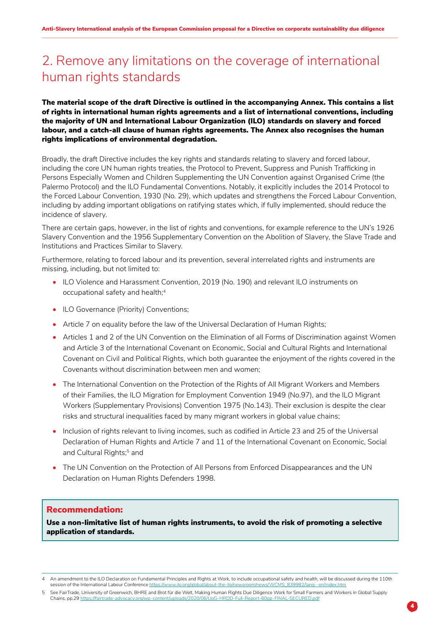## <span id="page-3-0"></span>2. Remove any limitations on the coverage of international human rights standards

### The material scope of the draft Directive is outlined in the accompanying [Annex.](https://ec.europa.eu/info/publications/proposal-directive-corporate-sustainable-due-diligence-and-annex_en) This contains a list of rights in international human rights agreements and a list of international conventions, including the majority of UN and International Labour Organization (ILO) standards on slavery and forced labour, and a catch-all clause of human rights agreements. The Annex also recognises the human rights implications of environmental degradation.

Broadly, the draft Directive includes the key rights and standards relating to slavery and forced labour, including the core UN human rights treaties, the Protocol to Prevent, Suppress and Punish Trafficking in Persons Especially Women and Children Supplementing the UN Convention against Organised Crime (the Palermo Protocol) and the ILO Fundamental Conventions. Notably, it explicitly includes the 2014 Protocol to the Forced Labour Convention, 1930 (No. 29), which updates and strengthens the Forced Labour Convention, including by adding important obligations on ratifying states which, if fully implemented, should reduce the incidence of slavery.

There are certain gaps, however, in the list of rights and conventions, for example reference to the UN's 1926 Slavery Convention and the 1956 Supplementary Convention on the Abolition of Slavery, the Slave Trade and Institutions and Practices Similar to Slavery.

Furthermore, relating to forced labour and its prevention, several interrelated rights and instruments are missing, including, but not limited to:

- ILO Violence and Harassment Convention, 2019 (No. 190) and relevant ILO instruments on occupational safety and health;<sup>4</sup>
- ILO Governance (Priority) Conventions;
- Article 7 on equality before the law of the Universal Declaration of Human Rights;
- Articles 1 and 2 of the UN Convention on the Elimination of all Forms of Discrimination against Women and Article 3 of the International Covenant on Economic, Social and Cultural Rights and International Covenant on Civil and Political Rights, which both guarantee the enjoyment of the rights covered in the Covenants without discrimination between men and women;
- The International Convention on the Protection of the Rights of All Migrant Workers and Members of their Families, the ILO Migration for Employment Convention 1949 (No.97), and the ILO Migrant Workers (Supplementary Provisions) Convention 1975 (No.143). Their exclusion is despite the clear risks and structural inequalities faced by many migrant workers in global value chains;
- Inclusion of rights relevant to living incomes, such as codified in Article 23 and 25 of the Universal Declaration of Human Rights and Article 7 and 11 of the International Covenant on Economic, Social and Cultural Rights;<sup>5</sup> and
- The UN Convention on the Protection of All Persons from Enforced Disappearances and the UN Declaration on Human Rights Defenders 1998.

#### Recommendation:

Use a non-limitative list of human rights instruments, to avoid the risk of promoting a selective application of standards.

An amendment to the ILO Declaration on Fundamental Principles and Rights at Work, to include occupational safety and health, will be discussed during the 110th session of the International Labour Conference [https://www.ilo.org/global/about-the-ilo/newsroom/news/WCMS\\_839982/lang--en/index.htm](https://www.ilo.org/global/about-the-ilo/newsroom/news/WCMS_839982/lang--en/index.htm)

<sup>5</sup> See FairTrade, University of Greenwich, BHRE and Brot für die Welt, Making Human Rights Due Diligence Work for Small Farmers and Workers in Global Supply Chains, pp.29 <https://fairtrade-advocacy.org/wp-content/uploads/2020/06/UoG-HRDD-Full-Report-60pp-FINAL-SECURED.pdf>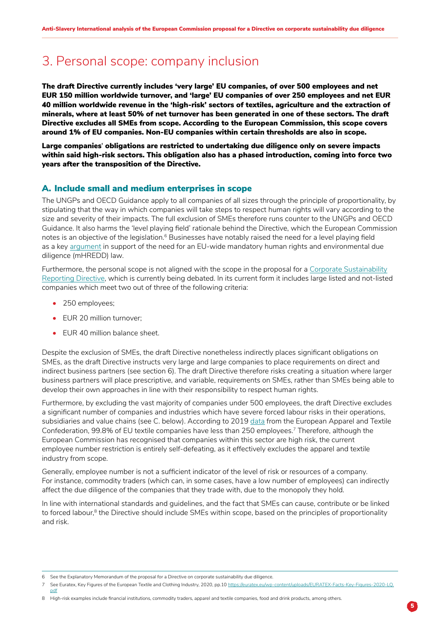## <span id="page-4-0"></span>3. Personal scope: company inclusion

The draft Directive currently includes 'very large' EU companies, of over 500 employees and net EUR 150 million worldwide turnover, and 'large' EU companies of over 250 employees and net EUR 40 million worldwide revenue in the 'high-risk' sectors of textiles, agriculture and the extraction of minerals, where at least 50% of net turnover has been generated in one of these sectors. The draft Directive excludes all SMEs from scope. According to the European Commission, this scope covers around 1% of EU companies. Non-EU companies within certain thresholds are also in scope.

Large companies**'** obligations are restricted to undertaking due diligence only on severe impacts within said high-risk sectors. This obligation also has a phased introduction, coming into force two years after the transposition of the Directive.

### A. Include small and medium enterprises in scope

The UNGPs and OECD Guidance apply to all companies of all sizes through the principle of proportionality, by stipulating that the way in which companies will take steps to respect human rights will vary according to the size and severity of their impacts. The full exclusion of SMEs therefore runs counter to the UNGPs and OECD Guidance. It also harms the 'level playing field' rationale behind the Directive, which the European Commission notes is an objective of the legislation.<sup>6</sup> Businesses have notably raised the need for a level playing field as a key [argument](https://media.business-humanrights.org/media/documents/EU_Business_Statement_Mandatory_Due_Diligence_02092020.pdf) in support of the need for an EU-wide mandatory human rights and environmental due diligence (mHREDD) law.

Furthermore, the personal scope is not aligned with the scope in the proposal for a [Corporate Sustainability](https://ec.europa.eu/info/publications/210421-sustainable-finance-communication_en#csrd)  [Reporting Directive](https://ec.europa.eu/info/publications/210421-sustainable-finance-communication_en#csrd), which is currently being debated. In its current form it includes large listed and not-listed companies which meet two out of three of the following criteria:

- 250 employees;
- EUR 20 million turnover;
- EUR 40 million balance sheet.

Despite the exclusion of SMEs, the draft Directive nonetheless indirectly places significant obligations on SMEs, as the draft Directive instructs very large and large companies to place requirements on direct and indirect business partners (see section 6). The draft Directive therefore risks creating a situation where larger business partners will place prescriptive, and variable, requirements on SMEs, rather than SMEs being able to develop their own approaches in line with their responsibility to respect human rights.

Furthermore, by excluding the vast majority of companies under 500 employees, the draft Directive excludes a significant number of companies and industries which have severe forced labour risks in their operations, subsidiaries and value chains (see C. below). According to 2019 [data](https://euratex.eu/wp-content/uploads/EURATEX-Facts-Key-Figures-2020-LQ.pdf) from the European Apparel and Textile Confederation, 99.8% of EU textile companies have less than 250 employees.7 Therefore, although the European Commission has recognised that companies within this sector are high risk, the current employee number restriction is entirely self-defeating, as it effectively excludes the apparel and textile industry from scope.

Generally, employee number is not a sufficient indicator of the level of risk or resources of a company. For instance, commodity traders (which can, in some cases, have a low number of employees) can indirectly affect the due diligence of the companies that they trade with, due to the monopoly they hold.

In line with international standards and guidelines, and the fact that SMEs can cause, contribute or be linked to forced labour,<sup>8</sup> the Directive should include SMEs within scope, based on the principles of proportionality and risk.

8 High-risk examples include financial institutions, commodity traders, apparel and textile companies, food and drink products, among others.

<sup>6</sup> See the Explanatory Memorandum of the proposal for a Directive on corporate sustainability due diligence.

<sup>7</sup> See Euratex, Key Figures of the European Textile and Clothing Industry, 2020, pp.10 [https://euratex.eu/wp-content/uploads/EURATEX-Facts-Key-Figures-2020-LQ.](https://euratex.eu/wp-content/uploads/EURATEX-Facts-Key-Figures-2020-LQ.pdf) [pdf](https://euratex.eu/wp-content/uploads/EURATEX-Facts-Key-Figures-2020-LQ.pdf)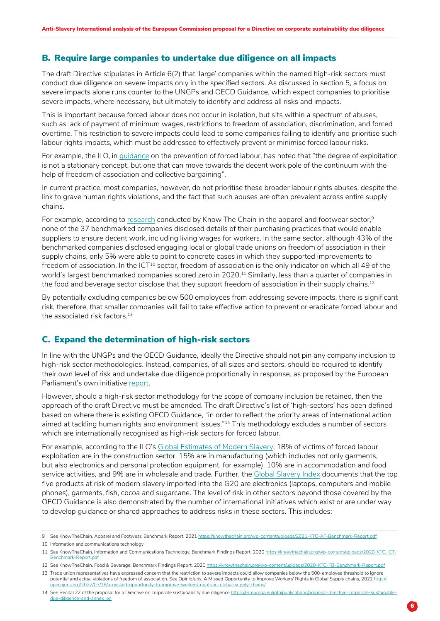### <span id="page-5-0"></span>B. Require large companies to undertake due diligence on all impacts

The draft Directive stipulates in Article 6(2) that 'large' companies within the named high-risk sectors must conduct due diligence on severe impacts only in the specified sectors. As discussed in section 5, a focus on severe impacts alone runs counter to the UNGPs and OECD Guidance, which expect companies to prioritise severe impacts, where necessary, but ultimately to identify and address all risks and impacts.

This is important because forced labour does not occur in isolation, but sits within a spectrum of abuses, such as lack of payment of minimum wages, restrictions to freedom of association, discrimination, and forced overtime. This restriction to severe impacts could lead to some companies failing to identify and prioritise such labour rights impacts, which must be addressed to effectively prevent or minimise forced labour risks.

For example, the ILO, in [guidance](https://www.ilo.org/wcmsp5/groups/public/---ed_emp/---emp_ent/documents/publication/wcms_762728.pdf) on the prevention of forced labour, has noted that "the degree of exploitation is not a stationary concept, but one that can move towards the decent work pole of the continuum with the help of freedom of association and collective bargaining".

In current practice, most companies, however, do not prioritise these broader labour rights abuses, despite the link to grave human rights violations, and the fact that such abuses are often prevalent across entire supply chains.

For example, according to [research](https://knowthechain.org/wp-content/uploads/2021-KTC-AF-Benchmark-Report.pdf) conducted by Know The Chain in the apparel and footwear sector,<sup>9</sup> none of the 37 benchmarked companies disclosed details of their purchasing practices that would enable suppliers to ensure decent work, including living wages for workers. In the same sector, although 43% of the benchmarked companies disclosed engaging local or global trade unions on freedom of association in their supply chains, only 5% were able to point to concrete cases in which they supported improvements to freedom of association. In the ICT<sup>10</sup> sector, freedom of association is the only indicator on which all 49 of the world's largest benchmarked companies scored zero in 2020.<sup>11</sup> Similarly, less than a quarter of companies in the food and beverage sector disclose that they support freedom of association in their supply chains.<sup>12</sup>

By potentially excluding companies below 500 employees from addressing severe impacts, there is significant risk, therefore, that smaller companies will fail to take effective action to prevent or eradicate forced labour and the associated risk factors.<sup>13</sup>

### C. Expand the determination of high-risk sectors

In line with the UNGPs and the OECD Guidance, ideally the Directive should not pin any company inclusion to high-risk sector methodologies. Instead, companies, of all sizes and sectors, should be required to identify their own level of risk and undertake due diligence proportionally in response, as proposed by the European Parliament's own initiative report.

However, should a high-risk sector methodology for the scope of company inclusion be retained, then the approach of the draft Directive must be amended. The draft Directive's list of 'high-sectors' has been defined based on where there is existing OECD Guidance, "in order to reflect the priority areas of international action aimed at tackling human rights and environment issues."<sup>14</sup> This methodology excludes a number of sectors which are internationally recognised as high-risk sectors for forced labour.

For example, according to the ILO's [Global Estimates of Modern Slavery](https://www.ilo.org/wcmsp5/groups/public/---dgreports/---dcomm/documents/publication/wcms_575479.pdf), 18% of victims of forced labour exploitation are in the construction sector, 15% are in manufacturing (which includes not only garments, but also electronics and personal protection equipment, for example), 10% are in accommodation and food service activities, and 9% are in wholesale and trade. Further, the [Global Slavery Index](https://www.globalslaveryindex.org/resources/downloads/) documents that the top five products at risk of modern slavery imported into the G20 are electronics (laptops, computers and mobile phones), garments, fish, cocoa and sugarcane. The level of risk in other sectors beyond those covered by the OECD Guidance is also demonstrated by the number of international initiatives which exist or are under way to develop guidance or shared approaches to address risks in these sectors. This includes:

<sup>9</sup> See KnowTheChain, Apparel and Footwear, Benchmark Report, 2021<https://knowthechain.org/wp-content/uploads/2021-KTC-AF-Benchmark-Report.pdf>

<sup>10</sup> Information and communications technology

<sup>11</sup> See KnowTheChain, Information and Communications Technology, Benchmark Findings Report, 2020 [https://knowthechain.org/wp-content/uploads/2020-KTC-ICT-](https://knowthechain.org/wp-content/uploads/2020-KTC-ICT-Benchmark-Report.pdf)[Benchmark-Report.pdf](https://knowthechain.org/wp-content/uploads/2020-KTC-ICT-Benchmark-Report.pdf)

<sup>12</sup> See KnowTheChain, Food & Beverage, Benchmark Findings Report, 2020 <https://knowthechain.org/wp-content/uploads/2020-KTC-FB-Benchmark-Report.pdf> 13 Trade union representatives have expressed concern that the restriction to severe impacts could allow companies below the 500-employee threshold to ignore potential and actual violations of freedom of association. See OpinioJuris, A Missed Opportunity to Improve Workers' Rights in Global Supply chains, 2022 [http://](http://opiniojuris.org/2022/03/18/a-missed-opportunity-to-improve-workers-rights-in-global-supply-chains/) [opiniojuris.org/2022/03/18/a-missed-opportunity-to-improve-workers-rights-in-global-supply-chains/](http://opiniojuris.org/2022/03/18/a-missed-opportunity-to-improve-workers-rights-in-global-supply-chains/)

<sup>14</sup> See Recital 22 of the proposal for a Directive on corporate sustainability due diligence [https://ec.europa.eu/info/publications/proposal-directive-corporate-sustainable](https://ec.europa.eu/info/publications/proposal-directive-corporate-sustainable-due-diligence-and-annex_en)[due-diligence-and-annex\\_en](https://ec.europa.eu/info/publications/proposal-directive-corporate-sustainable-due-diligence-and-annex_en)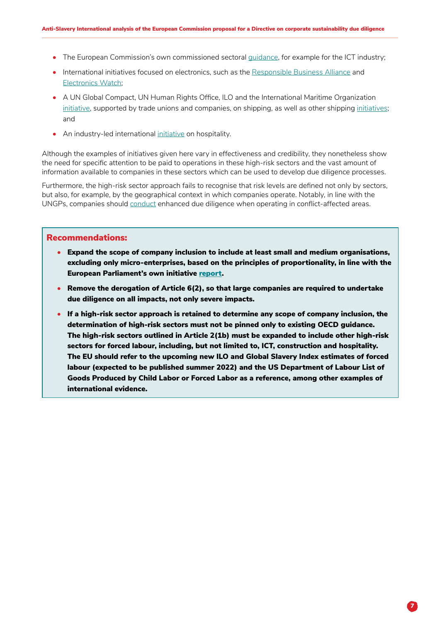- The European Commission's own commissioned sectoral [guidance](https://ec.europa.eu/anti-trafficking/european-commission-sector-guides-implementing-un-guiding-principles-business-and-human-rights_en), for example for the ICT industry;
- International initiatives focused on electronics, such as the [Responsible Business Alliance](https://www.responsiblebusiness.org/) and [Electronics Watch](https://electronicswatch.org/en/);
- A UN Global Compact, UN Human Rights Office, ILO and the International Maritime Organization [initiative](https://unglobalcompact.org/news/4699-05-06-2021), supported by trade unions and companies, on shipping, as well as other shipping [initiatives](https://www.ihrb.org/focus-areas/shipping); and
- An industry-led international [initiative](https://sustainablehospitalityalliance.org/about-us/members/) on hospitality.

Although the examples of initiatives given here vary in effectiveness and credibility, they nonetheless show the need for specific attention to be paid to operations in these high-risk sectors and the vast amount of information available to companies in these sectors which can be used to develop due diligence processes.

Furthermore, the high-risk sector approach fails to recognise that risk levels are defined not only by sectors, but also, for example, by the geographical context in which companies operate. Notably, in line with the UNGPs, companies should [conduct](https://www.ohchr.org/en/business/business-human-rights-and-conflict-affected-regions-project) enhanced due diligence when operating in conflict-affected areas.

- Expand the scope of company inclusion to include at least small and medium organisations, excluding only micro-enterprises, based on the principles of proportionality, in line with the European Parliament's own initiative [report](https://www.europarl.europa.eu/doceo/document/TA-9-2021-0073_EN.pdf).
- Remove the derogation of Article 6(2), so that large companies are required to undertake due diligence on all impacts, not only severe impacts.
- If a high-risk sector approach is retained to determine any scope of company inclusion, the determination of high-risk sectors must not be pinned only to existing OECD guidance. The high-risk sectors outlined in Article 2(1b) must be expanded to include other high-risk sectors for forced labour, including, but not limited to, ICT, construction and hospitality. The EU should refer to the upcoming new ILO and Global Slavery Index estimates of forced labour (expected to be published summer 2022) and the US Department of Labour List of Goods Produced by Child Labor or Forced Labor as a reference, among other examples of international evidence.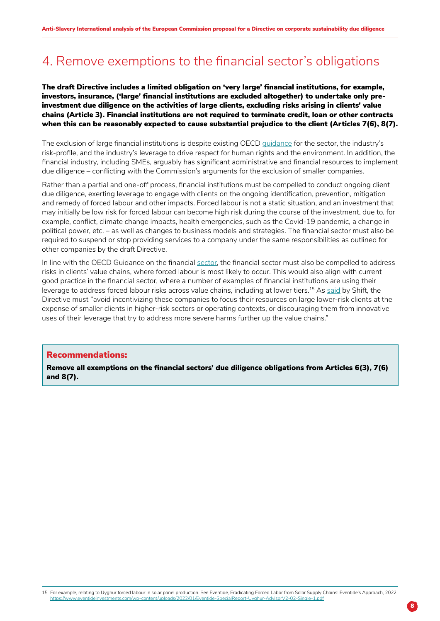## <span id="page-7-0"></span>4. Remove exemptions to the financial sector's obligations

### The draft Directive includes a limited obligation on 'very large' financial institutions, for example, investors, insurance, ('large' financial institutions are excluded altogether) to undertake only preinvestment due diligence on the activities of large clients, excluding risks arising in clients' value chains (Article 3). Financial institutions are not required to terminate credit, loan or other contracts when this can be reasonably expected to cause substantial prejudice to the client (Articles 7(6), 8(7).

The exclusion of large financial institutions is despite existing OECD [guidance](https://mneguidelines.oecd.org/rbc-financial-sector.htm) for the sector, the industry's risk-profile, and the industry's leverage to drive respect for human rights and the environment. In addition, the financial industry, including SMEs, arguably has significant administrative and financial resources to implement due diligence – conflicting with the Commission's arguments for the exclusion of smaller companies.

Rather than a partial and one-off process, financial institutions must be compelled to conduct ongoing client due diligence, exerting leverage to engage with clients on the ongoing identification, prevention, mitigation and remedy of forced labour and other impacts. Forced labour is not a static situation, and an investment that may initially be low risk for forced labour can become high risk during the course of the investment, due to, for example, conflict, climate change impacts, health emergencies, such as the Covid-19 pandemic, a change in political power, etc. – as well as changes to business models and strategies. The financial sector must also be required to suspend or stop providing services to a company under the same responsibilities as outlined for other companies by the draft Directive.

In line with the OECD Guidance on the financial [sector](https://mneguidelines.oecd.org/rbc-financial-sector.htm), the financial sector must also be compelled to address risks in clients' value chains, where forced labour is most likely to occur. This would also align with current good practice in the financial sector, where a number of examples of financial institutions are using their leverage to address forced labour risks across value chains, including at lower tiers.15 As [said](https://shiftproject.org/resource/eu-csdd-proposal-analysis/) by Shift, the Directive must "avoid incentivizing these companies to focus their resources on large lower-risk clients at the expense of smaller clients in higher-risk sectors or operating contexts, or discouraging them from innovative uses of their leverage that try to address more severe harms further up the value chains."

#### Recommendations:

Remove all exemptions on the financial sectors' due diligence obligations from Articles 6(3), 7(6) and 8(7).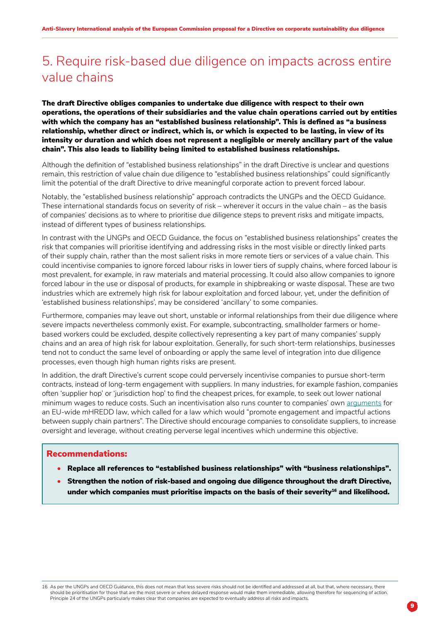## <span id="page-8-0"></span>5. Require risk-based due diligence on impacts across entire value chains

The draft Directive obliges companies to undertake due diligence with respect to their own operations, the operations of their subsidiaries and the value chain operations carried out by entities with which the company has an "established business relationship". This is defined as "a business relationship, whether direct or indirect, which is, or which is expected to be lasting, in view of its intensity or duration and which does not represent a negligible or merely ancillary part of the value chain". This also leads to liability being limited to established business relationships.

Although the definition of "established business relationships" in the draft Directive is unclear and questions remain, this restriction of value chain due diligence to "established business relationships" could significantly limit the potential of the draft Directive to drive meaningful corporate action to prevent forced labour.

Notably, the "established business relationship" approach contradicts the UNGPs and the OECD Guidance. These international standards focus on severity of risk – wherever it occurs in the value chain – as the basis of companies' decisions as to where to prioritise due diligence steps to prevent risks and mitigate impacts, instead of different types of business relationships.

In contrast with the UNGPs and OECD Guidance, the focus on "established business relationships" creates the risk that companies will prioritise identifying and addressing risks in the most visible or directly linked parts of their supply chain, rather than the most salient risks in more remote tiers or services of a value chain. This could incentivise companies to ignore forced labour risks in lower tiers of supply chains, where forced labour is most prevalent, for example, in raw materials and material processing. It could also allow companies to ignore forced labour in the use or disposal of products, for example in shipbreaking or waste disposal. These are two industries which are extremely high risk for labour exploitation and forced labour, yet, under the definition of 'established business relationships', may be considered 'ancillary' to some companies.

Furthermore, companies may leave out short, unstable or informal relationships from their due diligence where severe impacts nevertheless commonly exist. For example, subcontracting, smallholder farmers or homebased workers could be excluded, despite collectively representing a key part of many companies' supply chains and an area of high risk for labour exploitation. Generally, for such short-term relationships, businesses tend not to conduct the same level of onboarding or apply the same level of integration into due diligence processes, even though high human rights risks are present.

In addition, the draft Directive's current scope could perversely incentivise companies to pursue short-term contracts, instead of long-term engagement with suppliers. In many industries, for example fashion, companies often 'supplier hop' or 'jurisdiction hop' to find the cheapest prices, for example, to seek out lower national minimum wages to reduce costs. Such an incentivisation also runs counter to companies' own [arguments](https://media.business-humanrights.org/media/documents/EU_Business_Statement_Mandatory_Due_Diligence_02092020.pdf) for an EU-wide mHREDD law, which called for a law which would "promote engagement and impactful actions between supply chain partners". The Directive should encourage companies to consolidate suppliers, to increase oversight and leverage, without creating perverse legal incentives which undermine this objective.

#### Recommendations:

- Replace all references to "established business relationships" with "business relationships".
- Strengthen the notion of risk-based and ongoing due diligence throughout the draft Directive, under which companies must prioritise impacts on the basis of their severity $^{\rm 16}$  and likelihood.

16 As per the UNGPs and OECD Guidance, this does not mean that less severe risks should not be identified and addressed at all, but that, where necessary, there should be prioritisation for those that are the most severe or where delayed response would make them irremediable, allowing therefore for sequencing of action. Principle 24 of the UNGPs particularly makes clear that companies are expected to eventually address all risks and impacts.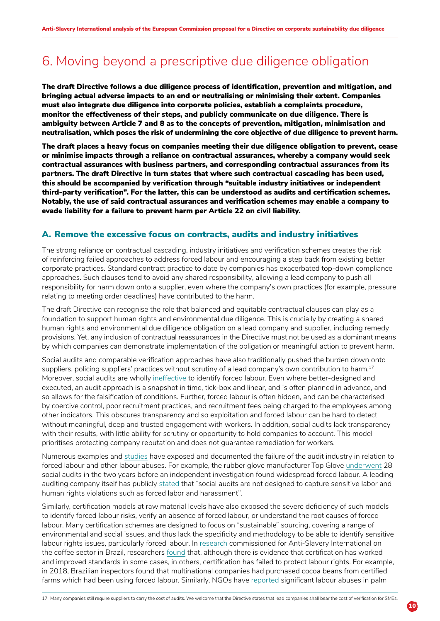## <span id="page-9-0"></span>6. Moving beyond a prescriptive due diligence obligation

The draft Directive follows a due diligence process of identification, prevention and mitigation, and bringing actual adverse impacts to an end or neutralising or minimising their extent. Companies must also integrate due diligence into corporate policies, establish a complaints procedure, monitor the effectiveness of their steps, and publicly communicate on due diligence. There is ambiguity between Article 7 and 8 as to the concepts of prevention, mitigation, minimisation and neutralisation, which poses the risk of undermining the core objective of due diligence to prevent harm.

The draft places a heavy focus on companies meeting their due diligence obligation to prevent, cease or minimise impacts through a reliance on contractual assurances, whereby a company would seek contractual assurances with business partners, and corresponding contractual assurances from its partners. The draft Directive in turn states that where such contractual cascading has been used, this should be accompanied by verification through "suitable industry initiatives or independent third-party verification". For the latter, this can be understood as audits and certification schemes. Notably, the use of said contractual assurances and verification schemes may enable a company to evade liability for a failure to prevent harm per Article 22 on civil liability.

#### A. Remove the excessive focus on contracts, audits and industry initiatives

The strong reliance on contractual cascading, industry initiatives and verification schemes creates the risk of reinforcing failed approaches to address forced labour and encouraging a step back from existing better corporate practices. Standard contract practice to date by companies has exacerbated top-down compliance approaches. Such clauses tend to avoid any shared responsibility, allowing a lead company to push all responsibility for harm down onto a supplier, even where the company's own practices (for example, pressure relating to meeting order deadlines) have contributed to the harm.

The draft Directive can recognise the role that balanced and equitable contractual clauses can play as a foundation to support human rights and environmental due diligence. This is crucially by creating a shared human rights and environmental due diligence obligation on a lead company and supplier, including remedy provisions. Yet, any inclusion of contractual reassurances in the Directive must not be used as a dominant means by which companies can demonstrate implementation of the obligation or meaningful action to prevent harm.

Social audits and comparable verification approaches have also traditionally pushed the burden down onto suppliers, policing suppliers' practices without scrutiny of a lead company's own contribution to harm.<sup>17</sup> Moreover, social audits are wholly [ineffective](https://www.antislavery.org/social-auditing-inadequate-why-we-need-worker-led-solutions/) to identify forced labour. Even where better-designed and executed, an audit approach is a snapshot in time, tick-box and linear, and is often planned in advance, and so allows for the falsification of conditions. Further, forced labour is often hidden, and can be characterised by coercive control, poor recruitment practices, and recruitment fees being charged to the employees among other indicators. This obscures transparency and so exploitation and forced labour can be hard to detect without meaningful, deep and trusted engagement with workers. In addition, social audits lack transparency with their results, with little ability for scrutiny or opportunity to hold companies to account. This model prioritises protecting company reputation and does not guarantee remediation for workers.

Numerous examples and [studies](https://www.business-humanrights.org/en/latest-news/new-academic-research-finds-many-audits-are-unreliable-and-underlines-need-for-mandatory-due-diligence-worker-participation/) have exposed and documented the failure of the audit industry in relation to forced labour and other labour abuses. For example, the rubber glove manufacturer Top Glove [underwent](https://www.business-humanrights.org/pt/blog/who-audits-the-auditor-shaping-legal-accountability-strategies-to-redress-social-audit-failings/) 28 social audits in the two years before an independent investigation found widespread forced labour. A leading auditing company itself has publicly [stated](https://media.business-humanrights.org/media/documents/files/documents/ELEVATE_response_to_CCC_report_Fig_Leaf_for_Fashion_20190930.pdf) that "social audits are not designed to capture sensitive labor and human rights violations such as forced labor and harassment".

Similarly, certification models at raw material levels have also exposed the severe deficiency of such models to identify forced labour risks, verify an absence of forced labour, or understand the root causes of forced labour. Many certification schemes are designed to focus on "sustainable" sourcing, covering a range of environmental and social issues, and thus lack the specificity and methodology to be able to identify sensitive labour rights issues, particularly forced labour. In [research](https://www.antislavery.org/wp-content/uploads/2021/11/ASI_EUlaw_GlobalImpact_Report2.pdf) commissioned for Anti-Slavery International on the coffee sector in Brazil, researchers [found](https://reporterbrasil.org.br/2019/05/slave-labor-found-at-second-starbucks-certified-brazilian-coffee-farm/) that, although there is evidence that certification has worked and improved standards in some cases, in others, certification has failed to protect labour rights. For example, in 2018, Brazilian inspectors found that multinational companies had purchased cocoa beans from certified farms which had been using forced labour. Similarly, NGOs have [reported](https://news.mongabay.com/2020/12/labor-abuses-rspo-oil-palm-plantations-indonesia-sumatra-kalimantan/) significant labour abuses in palm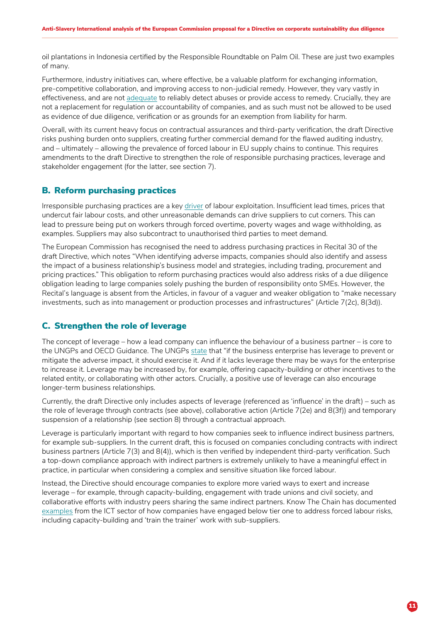<span id="page-10-0"></span>oil plantations in Indonesia certified by the Responsible Roundtable on Palm Oil. These are just two examples of many.

Furthermore, industry initiatives can, where effective, be a valuable platform for exchanging information, pre-competitive collaboration, and improving access to non-judicial remedy. However, they vary vastly in effectiveness, and are not [adequate](https://www.msi-integrity.org/what-are-msis/) to reliably detect abuses or provide access to remedy. Crucially, they are not a replacement for regulation or accountability of companies, and as such must not be allowed to be used as evidence of due diligence, verification or as grounds for an exemption from liability for harm.

Overall, with its current heavy focus on contractual assurances and third-party verification, the draft Directive risks pushing burden onto suppliers, creating further commercial demand for the flawed auditing industry, and – ultimately – allowing the prevalence of forced labour in EU supply chains to continue. This requires amendments to the draft Directive to strengthen the role of responsible purchasing practices, leverage and stakeholder engagement (for the latter, see section 7).

### B. Reform purchasing practices

Irresponsible purchasing practices are a key [driver](https://www.hrw.org/report/2019/04/23/paying-bus-ticket-and-expecting-fly/how-apparel-brand-purchasing-practices-drive) of labour exploitation. Insufficient lead times, prices that undercut fair labour costs, and other unreasonable demands can drive suppliers to cut corners. This can lead to pressure being put on workers through forced overtime, poverty wages and wage withholding, as examples. Suppliers may also subcontract to unauthorised third parties to meet demand.

The European Commission has recognised the need to address purchasing practices in Recital 30 of the draft Directive, which notes "When identifying adverse impacts, companies should also identify and assess the impact of a business relationship's business model and strategies, including trading, procurement and pricing practices." This obligation to reform purchasing practices would also address risks of a due diligence obligation leading to large companies solely pushing the burden of responsibility onto SMEs. However, the Recital's language is absent from the Articles, in favour of a vaguer and weaker obligation to "make necessary investments, such as into management or production processes and infrastructures" (Article 7(2c), 8(3d)).

### C. Strengthen the role of leverage

The concept of leverage – how a lead company can influence the behaviour of a business partner – is core to the UNGPs and OECD Guidance. The UNGPs [state](https://www.ohchr.org/sites/default/files/Documents/Publications/GuidingPrinciplesBusinessHR_EN.pdf) that "if the business enterprise has leverage to prevent or mitigate the adverse impact, it should exercise it. And if it lacks leverage there may be ways for the enterprise to increase it. Leverage may be increased by, for example, offering capacity-building or other incentives to the related entity, or collaborating with other actors. Crucially, a positive use of leverage can also encourage longer-term business relationships.

Currently, the draft Directive only includes aspects of leverage (referenced as 'influence' in the draft) – such as the role of leverage through contracts (see above), collaborative action (Article 7(2e) and 8(3f)) and temporary suspension of a relationship (see section 8) through a contractual approach.

Leverage is particularly important with regard to how companies seek to influence indirect business partners, for example sub-suppliers. In the current draft, this is focused on companies concluding contracts with indirect business partners (Article 7(3) and 8(4)), which is then verified by independent third-party verification. Such a top-down compliance approach with indirect partners is extremely unlikely to have a meaningful effect in practice, in particular when considering a complex and sensitive situation like forced labour.

Instead, the Directive should encourage companies to explore more varied ways to exert and increase leverage – for example, through capacity-building, engagement with trade unions and civil society, and collaborative efforts with industry peers sharing the same indirect partners. Know The Chain has documented [examples](https://knowthechain.org/addressing-forced-labor-risks-in-lower-tiers-of-electronics-supply-chains-examples-of-company-practice/) from the ICT sector of how companies have engaged below tier one to address forced labour risks, including capacity-building and 'train the trainer' work with sub-suppliers.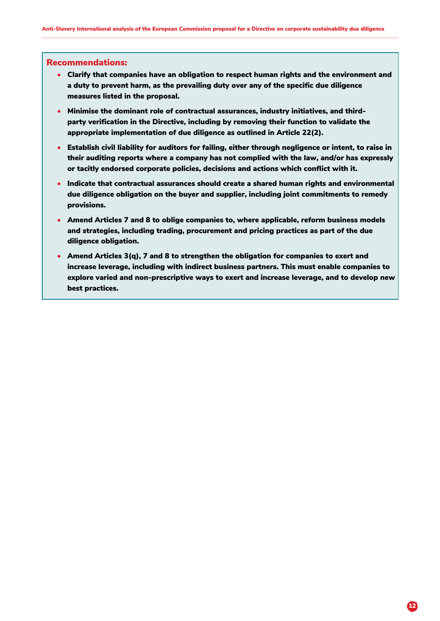- <span id="page-11-0"></span>• Clarify that companies have an obligation to respect human rights and the environment and a duty to prevent harm, as the prevailing duty over any of the specific due diligence measures listed in the proposal.
- Minimise the dominant role of contractual assurances, industry initiatives, and thirdparty verification in the Directive, including by removing their function to validate the appropriate implementation of due diligence as outlined in Article 22(2).
- Establish civil liability for auditors for failing, either through negligence or intent, to raise in their auditing reports where a company has not complied with the law, and/or has expressly or tacitly endorsed corporate policies, decisions and actions which conflict with it.
- Indicate that contractual assurances should create a shared human rights and environmental due diligence obligation on the buyer and supplier, including joint commitments to remedy provisions.
- Amend Articles 7 and 8 to oblige companies to, where applicable, reform business models and strategies, including trading, procurement and pricing practices as part of the due diligence obligation.
- Amend Articles 3(q), 7 and 8 to strengthen the obligation for companies to exert and increase leverage, including with indirect business partners. This must enable companies to explore varied and non-prescriptive ways to exert and increase leverage, and to develop new best practices.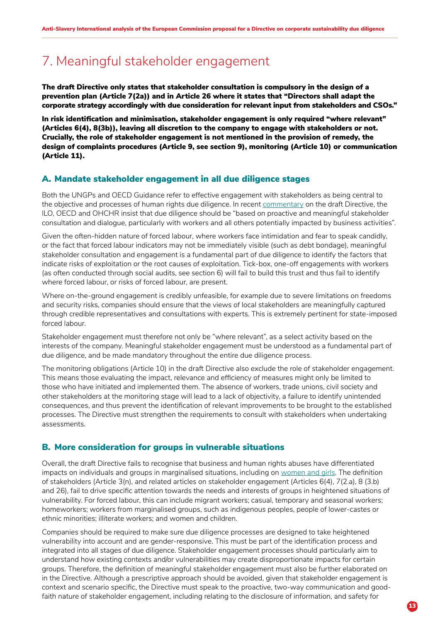## <span id="page-12-0"></span>7. Meaningful stakeholder engagement

The draft Directive only states that stakeholder consultation is compulsory in the design of a prevention plan (Article 7(2a)) and in Article 26 where it states that "Directors shall adapt the corporate strategy accordingly with due consideration for relevant input from stakeholders and CSOs."

In risk identification and minimisation, stakeholder engagement is only required "where relevant" (Articles 6(4), 8(3b)), leaving all discretion to the company to engage with stakeholders or not. Crucially, the role of stakeholder engagement is not mentioned in the provision of remedy, the design of complaints procedures (Article 9, see section 9), monitoring (Article 10) or communication (Article 11).

### A. Mandate stakeholder engagement in all due diligence stages

Both the UNGPs and OECD Guidance refer to effective engagement with stakeholders as being central to the objective and processes of human rights due diligence. In recent [commentary](https://mneguidelines.oecd.org/ilo-ohchr-oecd-response-to-eu-commission-proposal.pdf) on the draft Directive, the ILO, OECD and OHCHR insist that due diligence should be "based on proactive and meaningful stakeholder consultation and dialogue, particularly with workers and all others potentially impacted by business activities".

Given the often-hidden nature of forced labour, where workers face intimidation and fear to speak candidly, or the fact that forced labour indicators may not be immediately visible (such as debt bondage), meaningful stakeholder consultation and engagement is a fundamental part of due diligence to identify the factors that indicate risks of exploitation or the root causes of exploitation. Tick-box, one-off engagements with workers (as often conducted through social audits, see section 6) will fail to build this trust and thus fail to identify where forced labour, or risks of forced labour, are present.

Where on-the-ground engagement is credibly unfeasible, for example due to severe limitations on freedoms and security risks, companies should ensure that the views of local stakeholders are meaningfully captured through credible representatives and consultations with experts. This is extremely pertinent for state-imposed forced labour.

Stakeholder engagement must therefore not only be "where relevant", as a select activity based on the interests of the company. Meaningful stakeholder engagement must be understood as a fundamental part of due diligence, and be made mandatory throughout the entire due diligence process.

The monitoring obligations (Article 10) in the draft Directive also exclude the role of stakeholder engagement. This means those evaluating the impact, relevance and efficiency of measures might only be limited to those who have initiated and implemented them. The absence of workers, trade unions, civil society and other stakeholders at the monitoring stage will lead to a lack of objectivity, a failure to identify unintended consequences, and thus prevent the identification of relevant improvements to be brought to the established processes. The Directive must strengthen the requirements to consult with stakeholders when undertaking assessments.

### B. More consideration for groups in vulnerable situations

Overall, the draft Directive fails to recognise that business and human rights abuses have differentiated impacts on individuals and groups in marginalised situations, including on [women and girls](https://corporatejustice.org/wp-content/uploads/2022/03/CSDDD-Gender-responsiveness-open-letter-to-EC-MEPs-and-Council-1.pdf). The definition of stakeholders (Article 3(n), and related articles on stakeholder engagement (Articles 6(4), 7(2.a), 8 (3.b) and 26), fail to drive specific attention towards the needs and interests of groups in heightened situations of vulnerability. For forced labour, this can include migrant workers; casual, temporary and seasonal workers; homeworkers; workers from marginalised groups, such as indigenous peoples, people of lower-castes or ethnic minorities; illiterate workers; and women and children.

Companies should be required to make sure due diligence processes are designed to take heightened vulnerability into account and are gender-responsive. This must be part of the identification process and integrated into all stages of due diligence. Stakeholder engagement processes should particularly aim to understand how existing contexts and/or vulnerabilities may create disproportionate impacts for certain groups. Therefore, the definition of meaningful stakeholder engagement must also be further elaborated on in the Directive. Although a prescriptive approach should be avoided, given that stakeholder engagement is context and scenario specific, the Directive must speak to the proactive, two-way communication and goodfaith nature of stakeholder engagement, including relating to the disclosure of information, and safety for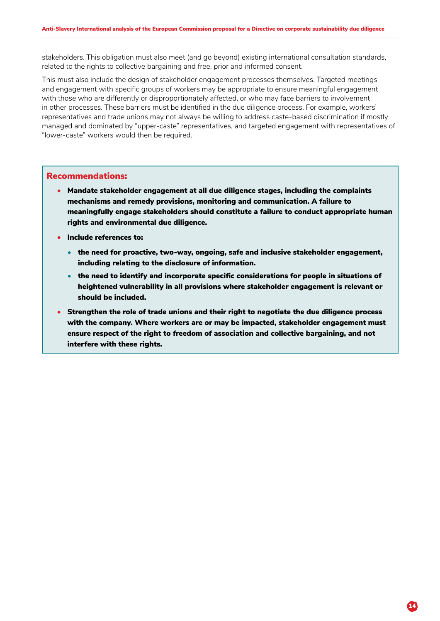<span id="page-13-0"></span>stakeholders. This obligation must also meet (and go beyond) existing international consultation standards, related to the rights to collective bargaining and free, prior and informed consent.

This must also include the design of stakeholder engagement processes themselves. Targeted meetings and engagement with specific groups of workers may be appropriate to ensure meaningful engagement with those who are differently or disproportionately affected, or who may face barriers to involvement in other processes. These barriers must be identified in the due diligence process. For example, workers' representatives and trade unions may not always be willing to address caste-based discrimination if mostly managed and dominated by "upper-caste" representatives, and targeted engagement with representatives of "lower-caste" workers would then be required.

- Mandate stakeholder engagement at all due diligence stages, including the complaints mechanisms and remedy provisions, monitoring and communication. A failure to meaningfully engage stakeholders should constitute a failure to conduct appropriate human rights and environmental due diligence.
- Include references to:
	- the need for proactive, two-way, ongoing, safe and inclusive stakeholder engagement, including relating to the disclosure of information.
	- the need to identify and incorporate specific considerations for people in situations of heightened vulnerability in all provisions where stakeholder engagement is relevant or should be included.
- Strengthen the role of trade unions and their right to negotiate the due diligence process with the company. Where workers are or may be impacted, stakeholder engagement must ensure respect of the right to freedom of association and collective bargaining, and not interfere with these rights.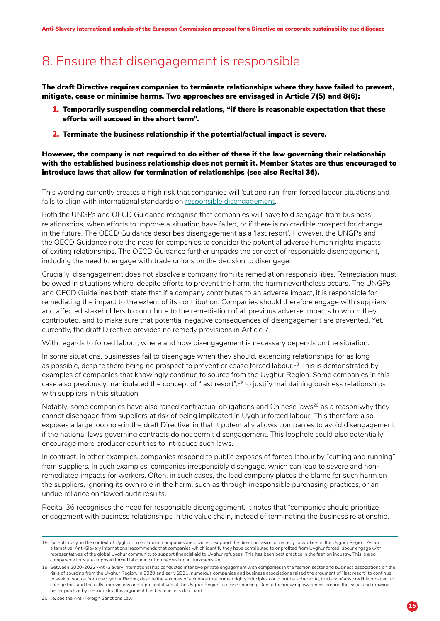## 8. Ensure that disengagement is responsible

The draft Directive requires companies to terminate relationships where they have failed to prevent, mitigate, cease or minimise harms. Two approaches are envisaged in Article 7(5) and 8(6):

- 1. Temporarily suspending commercial relations, "if there is reasonable expectation that these efforts will succeed in the short term".
- 2. Terminate the business relationship if the potential/actual impact is severe.

However, the company is not required to do either of these if the law governing their relationship with the established business relationship does not permit it. Member States are thus encouraged to introduce laws that allow for termination of relationships (see also Recital 36).

This wording currently creates a high risk that companies will 'cut and run' from forced labour situations and fails to align with international standards on [responsible disengagement](https://www.somo.nl/wp-content/uploads/2016/04/Should-I-stay-or-should-I-go-4.pdf).

Both the UNGPs and OECD Guidance recognise that companies will have to disengage from business relationships, when efforts to improve a situation have failed, or if there is no credible prospect for change in the future. The OECD Guidance describes disengagement as a 'last resort'. However, the UNGPs and the OECD Guidance note the need for companies to consider the potential adverse human rights impacts of exiting relationships. The OECD Guidance further unpacks the concept of responsible disengagement, including the need to engage with trade unions on the decision to disengage.

Crucially, disengagement does not absolve a company from its remediation responsibilities. Remediation must be owed in situations where, despite efforts to prevent the harm, the harm nevertheless occurs. The UNGPs and OECD Guidelines both state that if a company contributes to an adverse impact, it is responsible for remediating the impact to the extent of its contribution. Companies should therefore engage with suppliers and affected stakeholders to contribute to the remediation of all previous adverse impacts to which they contributed, and to make sure that potential negative consequences of disengagement are prevented. Yet, currently, the draft Directive provides no remedy provisions in Article 7.

With regards to forced labour, where and how disengagement is necessary depends on the situation:

In some situations, businesses fail to disengage when they should, extending relationships for as long as possible, despite there being no prospect to prevent or cease forced labour.<sup>18</sup> This is demonstrated by examples of companies that knowingly continue to source from the Uyghur Region. Some companies in this case also previously manipulated the concept of "last resort",<sup>19</sup> to justify maintaining business relationships with suppliers in this situation.

Notably, some companies have also raised contractual obligations and Chinese laws<sup>20</sup> as a reason why they cannot disengage from suppliers at risk of being implicated in Uyghur forced labour. This therefore also exposes a large loophole in the draft Directive, in that it potentially allows companies to avoid disengagement if the national laws governing contracts do not permit disengagement. This loophole could also potentially encourage more producer countries to introduce such laws.

In contrast, in other examples, companies respond to public exposes of forced labour by "cutting and running" from suppliers. In such examples, companies irresponsibly disengage, which can lead to severe and nonremediated impacts for workers. Often, in such cases, the lead company places the blame for such harm on the suppliers, ignoring its own role in the harm, such as through irresponsible purchasing practices, or an undue reliance on flawed audit results.

Recital 36 recognises the need for responsible disengagement. It notes that "companies should prioritize engagement with business relationships in the value chain, instead of terminating the business relationship,

<sup>18</sup> Exceptionally, in the context of Uyghur forced labour, companies are unable to support the direct provision of remedy to workers in the Uyghur Region. As an alternative, Anti-Slavery International recommends that companies which identify they have contributed to or profited from Uyghur forced labour engage with representatives of the global Uyghur community to support financial aid to Uyghur refugees. This has been best practice in the fashion industry. This is also comparable for state-imposed forced labour in cotton harvesting in Turkmenistan.

<sup>19</sup> Between 2020-2022 Anti-Slavery International has conducted intensive private engagement with companies in the fashion sector and business associations on the risks of sourcing from the Uyghur Region. In 2020 and early 2021, numerous companies and business associations raised the argument of "last resort" to continue to seek to source from the Uyghur Region, despite the volumes of evidence that human rights principles could not be adhered to, the lack of any credible prospect to change this, and the calls from victims and representatives of the Uyghur Region to cease sourcing. Due to the growing awareness around the issue, and growing better practice by the industry, this argument has become less dominant.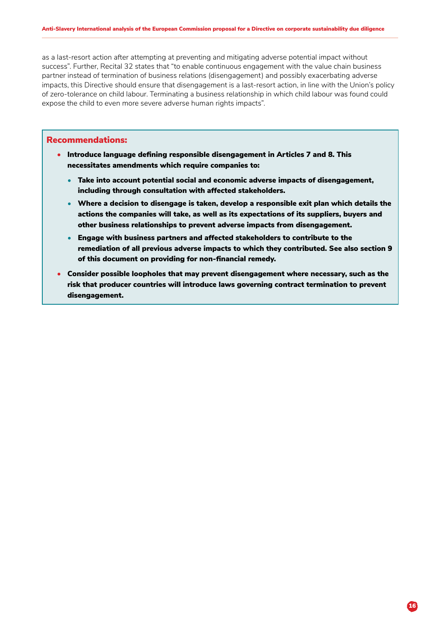<span id="page-15-0"></span>as a last-resort action after attempting at preventing and mitigating adverse potential impact without success". Further, Recital 32 states that "to enable continuous engagement with the value chain business partner instead of termination of business relations (disengagement) and possibly exacerbating adverse impacts, this Directive should ensure that disengagement is a last-resort action, in line with the Union's policy of zero-tolerance on child labour. Terminating a business relationship in which child labour was found could expose the child to even more severe adverse human rights impacts".

- Introduce language defining responsible disengagement in Articles 7 and 8. This necessitates amendments which require companies to:
	- Take into account potential social and economic adverse impacts of disengagement, including through consultation with affected stakeholders.
	- Where a decision to disengage is taken, develop a responsible exit plan which details the actions the companies will take, as well as its expectations of its suppliers, buyers and other business relationships to prevent adverse impacts from disengagement.
	- Engage with business partners and affected stakeholders to contribute to the remediation of all previous adverse impacts to which they contributed. See also section 9 of this document on providing for non-financial remedy.
- Consider possible loopholes that may prevent disengagement where necessary, such as the risk that producer countries will introduce laws governing contract termination to prevent disengagement.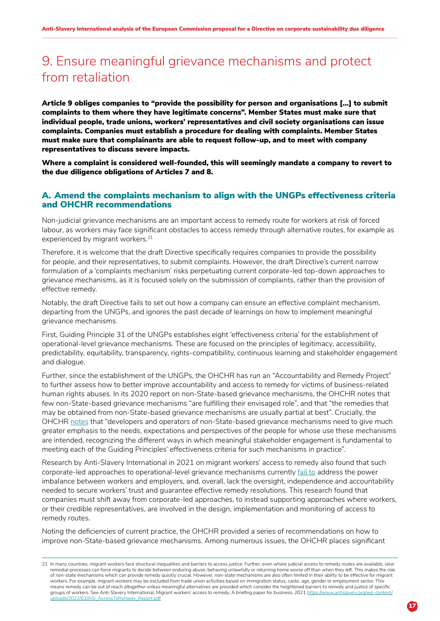## 9. Ensure meaningful grievance mechanisms and protect from retaliation

Article 9 obliges companies to "provide the possibility for person and organisations […] to submit complaints to them where they have legitimate concerns". Member States must make sure that individual people, trade unions, workers' representatives and civil society organisations can issue complaints. Companies must establish a procedure for dealing with complaints. Member States must make sure that complainants are able to request follow-up, and to meet with company representatives to discuss severe impacts.

Where a complaint is considered well-founded, this will seemingly mandate a company to revert to the due diligence obligations of Articles 7 and 8.

### A. Amend the complaints mechanism to align with the UNGPs effectiveness criteria and OHCHR recommendations

Non-judicial grievance mechanisms are an important access to remedy route for workers at risk of forced labour, as workers may face significant obstacles to access remedy through alternative routes, for example as experienced by migrant workers.<sup>21</sup>

Therefore, it is welcome that the draft Directive specifically requires companies to provide the possibility for people, and their representatives, to submit complaints. However, the draft Directive's current narrow formulation of a 'complaints mechanism' risks perpetuating current corporate-led top-down approaches to grievance mechanisms, as it is focused solely on the submission of complaints, rather than the provision of effective remedy.

Notably, the draft Directive fails to set out how a company can ensure an effective complaint mechanism, departing from the UNGPs, and ignores the past decade of learnings on how to implement meaningful grievance mechanisms.

First, Guiding Principle 31 of the UNGPs establishes eight 'effectiveness criteria' for the establishment of operational-level grievance mechanisms. These are focused on the principles of legitimacy, accessibility, predictability, equitability, transparency, rights-compatibility, continuous learning and stakeholder engagement and dialogue.

Further, since the establishment of the UNGPs, the OHCHR has run an "Accountability and Remedy Project" to further assess how to better improve accountability and access to remedy for victims of business-related human rights abuses. In its 2020 report on non-State-based grievance mechanisms, the OHCHR notes that few non-State-based grievance mechanisms "are fulfilling their envisaged role", and that "the remedies that may be obtained from non-State-based grievance mechanisms are usually partial at best". Crucially, the OHCHR [notes](https://www.ohchr.org/en/business/ohchr-accountability-and-remedy-project/phase3-non-state-based-grievance-mechanisms) that "developers and operators of non-State-based grievance mechanisms need to give much greater emphasis to the needs, expectations and perspectives of the people for whose use these mechanisms are intended, recognizing the different ways in which meaningful stakeholder engagement is fundamental to meeting each of the Guiding Principles' effectiveness criteria for such mechanisms in practice".

Research by Anti-Slavery International in 2021 on migrant workers' access to remedy also found that such corporate-led approaches to operational-level grievance mechanisms currently [fail to](https://www.antislavery.org/wp-content/uploads/2022/02/ASI_AccessToRemedy_Report.pdf) address the power imbalance between workers and employers, and, overall, lack the oversight, independence and accountability needed to secure workers' trust and guarantee effective remedy resolutions. This research found that companies must shift away from corporate-led approaches, to instead supporting approaches where workers, or their credible representatives, are involved in the design, implementation and monitoring of access to remedy routes.

Noting the deficiencies of current practice, the OHCHR provided a series of recommendations on how to improve non-State-based grievance mechanisms. Among numerous issues, the OHCHR places significant

<sup>21</sup> In many countries, migrant workers face structural inequalities and barriers to access justice. Further, even where judicial access to remedy routes are available, slow remedial processes can force migrants to decide between enduring abuse, behaving unlawfully or returning home worse off than when they left. This makes the role of non-state mechanisms which can provide remedy quickly crucial. However, non-state mechanisms are also often limited in their ability to be effective for migrant workers. For example, migrant workers may be excluded from trade union activities based on immigration status, caste, age, gender or employment sector. This means remedy can be out of reach altogether unless meaningful alternatives are provided which consider the heightened barriers to remedy and justice of specific groups of workers. See Anti-Slavery International, Migrant workers' access to remedy, A briefing paper for business, 2021 [https://www.antislavery.org/wp-content/](https://www.antislavery.org/wp-content/uploads/2022/02/ASI_AccessToRemedy_Report.pdf) [uploads/2022/02/ASI\\_AccessToRemedy\\_Report.pdf](https://www.antislavery.org/wp-content/uploads/2022/02/ASI_AccessToRemedy_Report.pdf)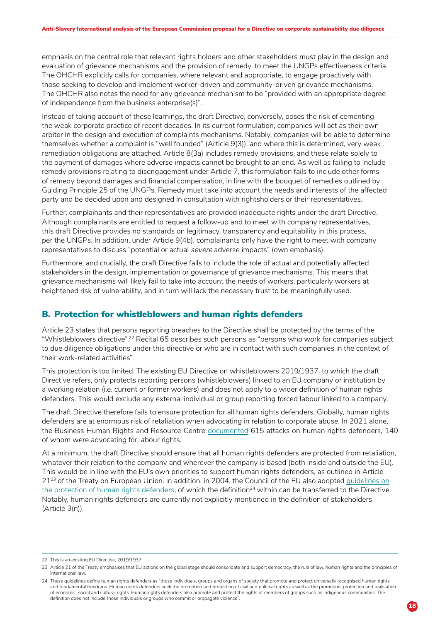emphasis on the central role that relevant rights holders and other stakeholders must play in the design and evaluation of grievance mechanisms and the provision of remedy, to meet the UNGPs effectiveness criteria. The OHCHR explicitly calls for companies, where relevant and appropriate, to engage proactively with those seeking to develop and implement worker-driven and community-driven grievance mechanisms. The OHCHR also notes the need for any grievance mechanism to be "provided with an appropriate degree of independence from the business enterprise(s)".

Instead of taking account of these learnings, the draft Directive, conversely, poses the risk of cementing the weak corporate practice of recent decades. In its current formulation, companies will act as their own arbiter in the design and execution of complaints mechanisms. Notably, companies will be able to determine themselves whether a complaint is "well founded" (Article 9(3)), and where this is determined, very weak remediation obligations are attached. Article 8(3a) includes remedy provisions, and these relate solely to the payment of damages where adverse impacts cannot be brought to an end. As well as failing to include remedy provisions relating to disengagement under Article 7, this formulation fails to include other forms of remedy beyond damages and financial compensation, in line with the bouquet of remedies outlined by Guiding Principle 25 of the UNGPs. Remedy must take into account the needs and interests of the affected party and be decided upon and designed in consultation with rightsholders or their representatives.

Further, complainants and their representatives are provided inadequate rights under the draft Directive. Although complainants are entitled to request a follow-up and to meet with company representatives, this draft Directive provides no standards on legitimacy, transparency and equitability in this process, per the UNGPs. In addition, under Article 9(4b), complainants only have the right to meet with company representatives to discuss "potential or actual severe adverse impacts" (own emphasis).

Furthermore, and crucially, the draft Directive fails to include the role of actual and potentially affected stakeholders in the design, implementation or governance of grievance mechanisms. This means that grievance mechanisms will likely fail to take into account the needs of workers, particularly workers at heightened risk of vulnerability, and in turn will lack the necessary trust to be meaningfully used.

### B. Protection for whistleblowers and human rights defenders

Article 23 states that persons reporting breaches to the Directive shall be protected by the terms of the "Whistleblowers directive".22 Recital 65 describes such persons as "persons who work for companies subject to due diligence obligations under this directive or who are in contact with such companies in the context of their work-related activities".

This protection is too limited. The existing EU Directive on whistleblowers 2019/1937, to which the draft Directive refers, only protects reporting persons (whistleblowers) linked to an EU company or institution by a working relation (i.e. current or former workers) and does not apply to a wider definition of human rights defenders. This would exclude any external individual or group reporting forced labour linked to a company.

The draft Directive therefore fails to ensure protection for all human rights defenders. Globally, human rights defenders are at enormous risk of retaliation when advocating in relation to corporate abuse. In 2021 alone, the Business Human Rights and Resource Centre [documented](https://www.business-humanrights.org/en/from-us/briefings/hrds-2021/human-rights-defenders-business-in-2021-protecting-the-rights-of-people-driving-a-just-transition/?utm_source=direct_email&utm_medium=email&utm_campaign=HRDs2021&utm_content=email) 615 attacks on human rights defenders, 140 of whom were advocating for labour rights.

At a minimum, the draft Directive should ensure that all human rights defenders are protected from retaliation, whatever their relation to the company and wherever the company is based (both inside and outside the EU). This would be in line with the EU's own priorities to support human rights defenders, as outlined in Article 21<sup>23</sup> of the Treaty on European Union. In addition, in 2004, the Council of the EU also adopted guidelines on [the protection of human rights defenders](https://www.eeas.europa.eu/sites/default/files/02_hr_guidelines_defenders_en_0.pdf), of which the definition<sup>24</sup> within can be transferred to the Directive. Notably, human rights defenders are currently not explicitly mentioned in the definition of stakeholders (Article 3(n)).

<sup>22</sup> This is an existing EU Directive, 2019/1937.

<sup>23</sup> Article 21 of the Treaty emphasises that EU actions on the global stage should consolidate and support democracy, the rule of law, human rights and the principles of international law.

<sup>24</sup> These guidelines define human rights defenders as "those individuals, groups and organs of society that promote and protect universally recognised human rights and fundamental freedoms. Human rights defenders seek the promotion and protection of civil and political rights as well as the promotion, protection and realisation of economic, social and cultural rights. Human rights defenders also promote and protect the rights of members of groups such as indigenous communities. The definition does not include those individuals or groups who commit or propagate violence".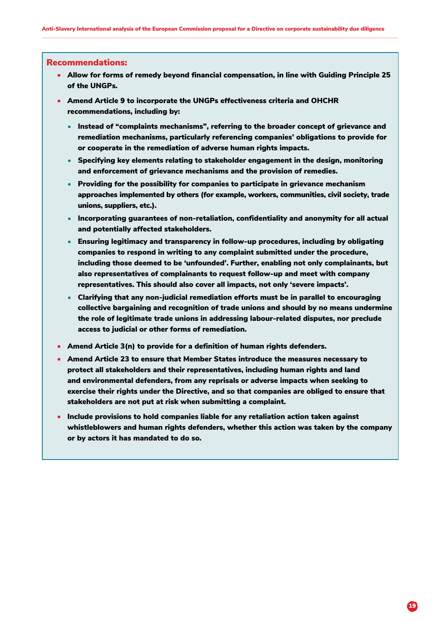- <span id="page-18-0"></span>• Allow for forms of remedy beyond financial compensation, in line with Guiding Principle 25 of the UNGPs.
- Amend Article 9 to incorporate the UNGPs effectiveness criteria and OHCHR recommendations, including by:
	- Instead of "complaints mechanisms", referring to the broader concept of grievance and remediation mechanisms, particularly referencing companies' obligations to provide for or cooperate in the remediation of adverse human rights impacts.
	- Specifying key elements relating to stakeholder engagement in the design, monitoring and enforcement of grievance mechanisms and the provision of remedies.
	- Providing for the possibility for companies to participate in grievance mechanism approaches implemented by others (for example, workers, communities, civil society, trade unions, suppliers, etc.).
	- Incorporating guarantees of non-retaliation, confidentiality and anonymity for all actual and potentially affected stakeholders.
	- Ensuring legitimacy and transparency in follow-up procedures, including by obligating companies to respond in writing to any complaint submitted under the procedure, including those deemed to be 'unfounded'. Further, enabling not only complainants, but also representatives of complainants to request follow-up and meet with company representatives. This should also cover all impacts, not only 'severe impacts'.
	- Clarifying that any non-judicial remediation efforts must be in parallel to encouraging collective bargaining and recognition of trade unions and should by no means undermine the role of legitimate trade unions in addressing labour-related disputes, nor preclude access to judicial or other forms of remediation.
- Amend Article 3(n) to provide for a definition of human rights defenders.
- Amend Article 23 to ensure that Member States introduce the measures necessary to protect all stakeholders and their representatives, including human rights and land and environmental defenders, from any reprisals or adverse impacts when seeking to exercise their rights under the Directive, and so that companies are obliged to ensure that stakeholders are not put at risk when submitting a complaint.
- Include provisions to hold companies liable for any retaliation action taken against whistleblowers and human rights defenders, whether this action was taken by the company or by actors it has mandated to do so.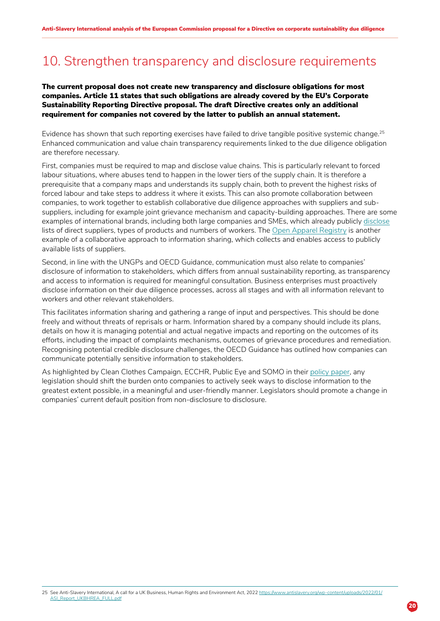## 10. Strengthen transparency and disclosure requirements

#### The current proposal does not create new transparency and disclosure obligations for most companies. Article 11 states that such obligations are already covered by the EU's Corporate Sustainability Reporting Directive proposal. The draft Directive creates only an additional requirement for companies not covered by the latter to publish an annual statement.

Evidence has shown that such reporting exercises have failed to drive tangible positive systemic change.<sup>25</sup> Enhanced communication and value chain transparency requirements linked to the due diligence obligation are therefore necessary.

First, companies must be required to map and disclose value chains. This is particularly relevant to forced labour situations, where abuses tend to happen in the lower tiers of the supply chain. It is therefore a prerequisite that a company maps and understands its supply chain, both to prevent the highest risks of forced labour and take steps to address it where it exists. This can also promote collaboration between companies, to work together to establish collaborative due diligence approaches with suppliers and subsuppliers, including for example joint grievance mechanism and capacity-building approaches. There are some examples of international brands, including both large companies and SMEs, which already publicly [disclose](https://transparencypledge.org/) lists of direct suppliers, types of products and numbers of workers. The [Open Apparel Registry](https://openapparel.org/) is another example of a collaborative approach to information sharing, which collects and enables access to publicly available lists of suppliers.

Second, in line with the UNGPs and OECD Guidance, communication must also relate to companies' disclosure of information to stakeholders, which differs from annual sustainability reporting, as transparency and access to information is required for meaningful consultation. Business enterprises must proactively disclose information on their due diligence processes, across all stages and with all information relevant to workers and other relevant stakeholders.

This facilitates information sharing and gathering a range of input and perspectives. This should be done freely and without threats of reprisals or harm. Information shared by a company should include its plans, details on how it is managing potential and actual negative impacts and reporting on the outcomes of its efforts, including the impact of complaints mechanisms, outcomes of grievance procedures and remediation. Recognising potential credible disclosure challenges, the OECD Guidance has outlined how companies can communicate potentially sensitive information to stakeholders.

As highlighted by Clean Clothes Campaign, ECCHR, Public Eye and SOMO in their policy paper, any legislation should shift the burden onto companies to actively seek ways to disclos[e information](https://www.somo.nl/wp-content/uploads/2022/01/Respecting-Rights-or-Ticking-Boxes.pdf) to the greatest extent possible, in a meaningful and user-friendly manner. Legislators should promote a change in companies' current default position from non-disclosure to disclosure.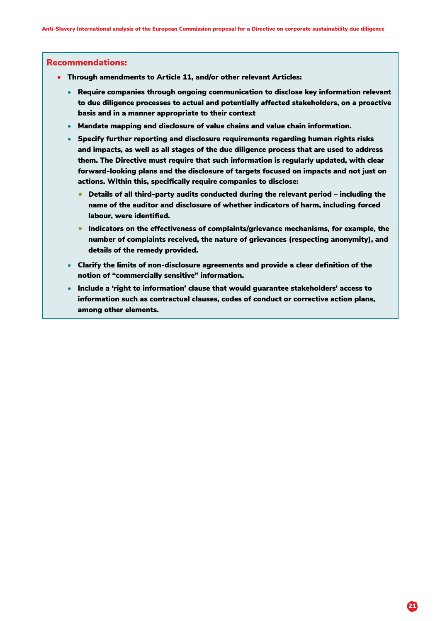- <span id="page-20-0"></span>• Through amendments to Article 11, and/or other relevant Articles:
	- Require companies through ongoing communication to disclose key information relevant to due diligence processes to actual and potentially affected stakeholders, on a proactive basis and in a manner appropriate to their context
	- Mandate mapping and disclosure of value chains and value chain information.
	- Specify further reporting and disclosure requirements regarding human rights risks and impacts, as well as all stages of the due diligence process that are used to address them. The Directive must require that such information is regularly updated, with clear forward-looking plans and the disclosure of targets focused on impacts and not just on actions. Within this, specifically require companies to disclose:
		- Details of all third-party audits conducted during the relevant period including the name of the auditor and disclosure of whether indicators of harm, including forced labour, were identified.
		- Indicators on the effectiveness of complaints/grievance mechanisms, for example, the number of complaints received, the nature of grievances (respecting anonymity), and details of the remedy provided.
	- Clarify the limits of non-disclosure agreements and provide a clear definition of the notion of "commercially sensitive" information.
	- Include a 'right to information' clause that would guarantee stakeholders' access to information such as contractual clauses, codes of conduct or corrective action plans, among other elements.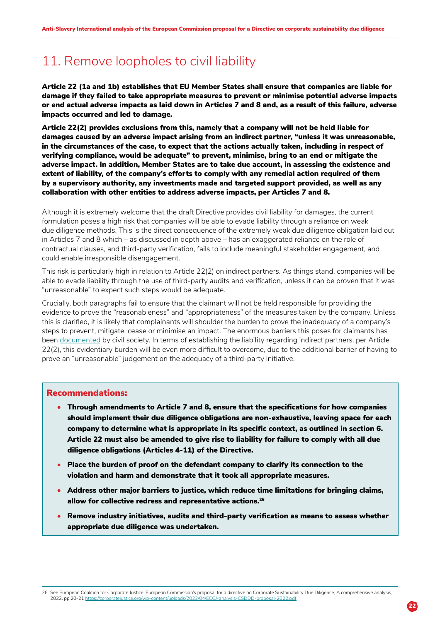## <span id="page-21-0"></span>11. Remove loopholes to civil liability

Article 22 (1a and 1b) establishes that EU Member States shall ensure that companies are liable for damage if they failed to take appropriate measures to prevent or minimise potential adverse impacts or end actual adverse impacts as laid down in Articles 7 and 8 and, as a result of this failure, adverse impacts occurred and led to damage.

Article 22(2) provides exclusions from this, namely that a company will not be held liable for damages caused by an adverse impact arising from an indirect partner, "unless it was unreasonable, in the circumstances of the case, to expect that the actions actually taken, including in respect of verifying compliance, would be adequate" to prevent, minimise, bring to an end or mitigate the adverse impact. In addition, Member States are to take due account, in assessing the existence and extent of liability, of the company's efforts to comply with any remedial action required of them by a supervisory authority, any investments made and targeted support provided, as well as any collaboration with other entities to address adverse impacts, per Articles 7 and 8.

Although it is extremely welcome that the draft Directive provides civil liability for damages, the current formulation poses a high risk that companies will be able to evade liability through a reliance on weak due diligence methods. This is the direct consequence of the extremely weak due diligence obligation laid out in Articles 7 and 8 which – as discussed in depth above – has an exaggerated reliance on the role of contractual clauses, and third-party verification, fails to include meaningful stakeholder engagement, and could enable irresponsible disengagement.

This risk is particularly high in relation to Article 22(2) on indirect partners. As things stand, companies will be able to evade liability through the use of third-party audits and verification, unless it can be proven that it was "unreasonable" to expect such steps would be adequate.

Crucially, both paragraphs fail to ensure that the claimant will not be held responsible for providing the evidence to prove the "reasonableness" and "appropriateness" of the measures taken by the company. Unless this is clarified, it is likely that complainants will shoulder the burden to prove the inadequacy of a company's steps to prevent, mitigate, cease or minimise an impact. The enormous barriers this poses for claimants has been [documented](https://corporatejustice.org/publications/suing-goliath/) by civil society. In terms of establishing the liability regarding indirect partners, per Article 22(2), this evidentiary burden will be even more difficult to overcome, due to the additional barrier of having to prove an "unreasonable" judgement on the adequacy of a third-party initiative.

### Recommendations:

- Through amendments to Article 7 and 8, ensure that the specifications for how companies should implement their due diligence obligations are non-exhaustive, leaving space for each company to determine what is appropriate in its specific context, as outlined in section 6. Article 22 must also be amended to give rise to liability for failure to comply with all due diligence obligations (Articles 4-11) of the Directive.
- Place the burden of proof on the defendant company to clarify its connection to the violation and harm and demonstrate that it took all appropriate measures.
- Address other major barriers to justice, which reduce time limitations for bringing claims, allow for collective redress and representative actions.<sup>26</sup>
- Remove industry initiatives, audits and third-party verification as means to assess whether appropriate due diligence was undertaken.

26 See European Coalition for Corporate Justice, European Commission's proposal for a directive on Corporate Sustainability Due Diligence, A comprehensive analysis, 2022, pp.20-21 <https://corporatejustice.org/wp-content/uploads/2022/04/ECCJ-analysis-CSDDD-proposal-2022.pdf>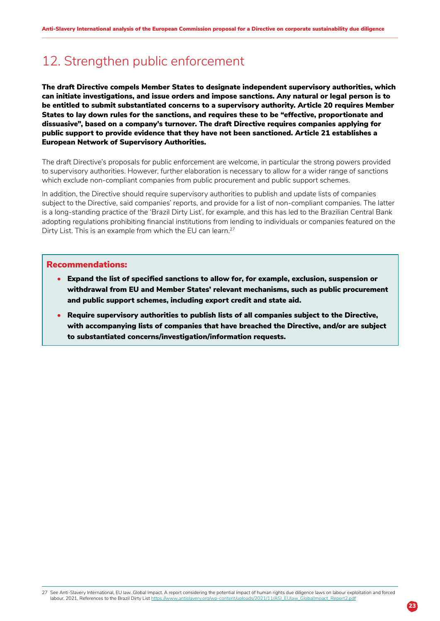## 12. Strengthen public enforcement

The draft Directive compels Member States to designate independent supervisory authorities, which can initiate investigations, and issue orders and impose sanctions. Any natural or legal person is to be entitled to submit substantiated concerns to a supervisory authority. Article 20 requires Member States to lay down rules for the sanctions, and requires these to be "effective, proportionate and dissuasive", based on a company's turnover. The draft Directive requires companies applying for public support to provide evidence that they have not been sanctioned. Article 21 establishes a European Network of Supervisory Authorities.

The draft Directive's proposals for public enforcement are welcome, in particular the strong powers provided to supervisory authorities. However, further elaboration is necessary to allow for a wider range of sanctions which exclude non-compliant companies from public procurement and public support schemes.

In addition, the Directive should require supervisory authorities to publish and update lists of companies subject to the Directive, said companies' reports, and provide for a list of non-compliant companies. The latter is a long-standing practice of the 'Brazil Dirty List', for example, and this has led to the Brazilian Central Bank adopting regulations prohibiting financial institutions from lending to individuals or companies featured on the Dirty List. This is an example from which the EU can learn.<sup>27</sup>

- Expand the list of specified sanctions to allow for, for example, exclusion, suspension or withdrawal from EU and Member States' relevant mechanisms, such as public procurement and public support schemes, including export credit and state aid.
- Require supervisory authorities to publish lists of all companies subject to the Directive, with accompanying lists of companies that have breached the Directive, and/or are subject to substantiated concerns/investigation/information requests.